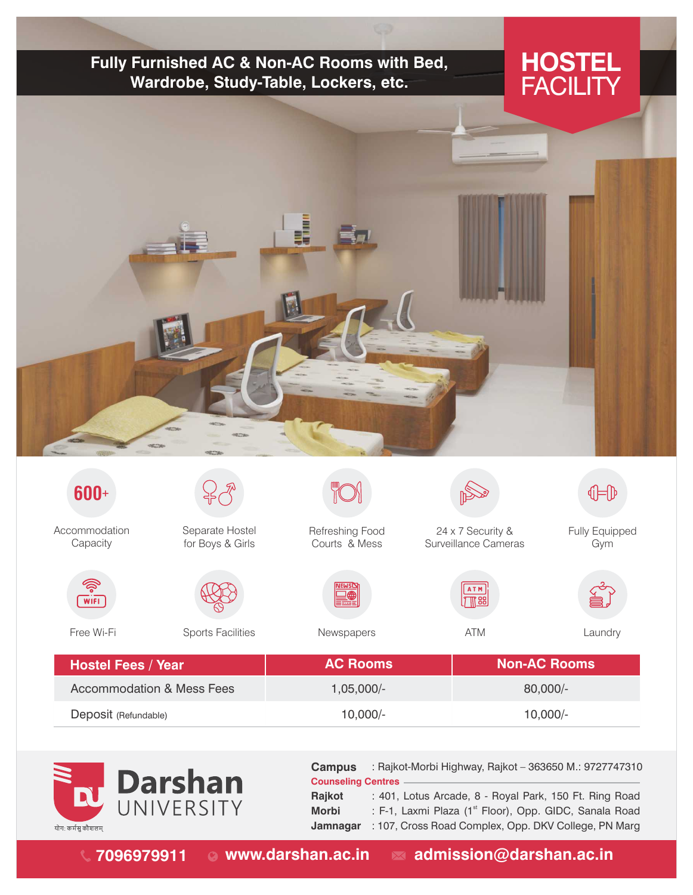## **Fully Furnished AC & Non-AC Rooms with Bed, Wardrobe, Study-Table, Lockers, etc.**

## **HOSTEL FACILITY**



| 600+                                 |                                     |                                  |                                           | $\bigoplus$           |
|--------------------------------------|-------------------------------------|----------------------------------|-------------------------------------------|-----------------------|
| Accommodation<br>Capacity            | Separate Hostel<br>for Boys & Girls | Refreshing Food<br>Courts & Mess | 24 x 7 Security &<br>Surveillance Cameras | Fully Equipped<br>Gym |
| ෯<br>$\overline{W}$ IFI              |                                     | <b>NEWS<sub>N</sub></b><br>₩     | ATM<br>$\sqrt{T}$ as $\sqrt{T}$           |                       |
| Free Wi-Fi                           | <b>Sports Facilities</b>            | Newspapers                       | <b>ATM</b>                                | Laundry               |
| <b>Hostel Fees / Year</b>            |                                     | <b>AC Rooms</b>                  | <b>Non-AC Rooms</b>                       |                       |
| <b>Accommodation &amp; Mess Fees</b> |                                     | $1,05,000/-$<br>80,000/-         |                                           |                       |
| Deposit (Refundable)                 |                                     | $10,000/-$                       | $10,000/-$                                |                       |



: 401, Lotus Arcade, 8 - Royal Park, 150 Ft. Ring Road : F-1, Laxmi Plaza (1<sup>st</sup> Floor), Opp. GIDC, Sanala Road **Counseling Centres Rajkot Morbi Campus** : Rajkot-Morbi Highway, Rajkot – 363650M.: 9727747310

**Jamnagar** : 107, Cross Road Complex, Opp. DKV College, PN Marg

**7096979911 www.darshan.ac.in admission@darshan.ac.in**